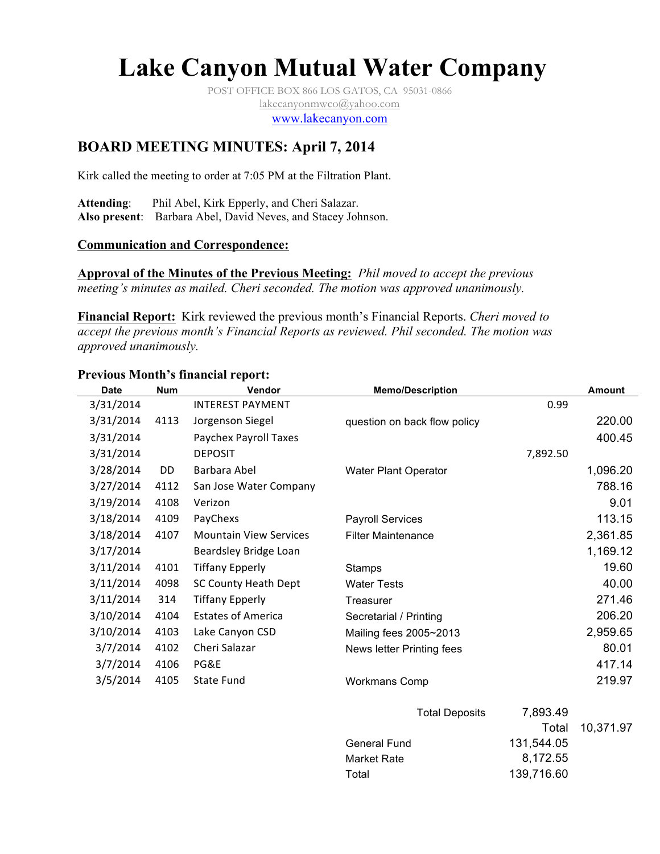# **Lake Canyon Mutual Water Company**

POST OFFICE BOX 866 LOS GATOS, CA 95031-0866 lakecanyonmwco@yahoo.com

www.lakecanyon.com

# **BOARD MEETING MINUTES: April 7, 2014**

Kirk called the meeting to order at 7:05 PM at the Filtration Plant.

**Attending**: Phil Abel, Kirk Epperly, and Cheri Salazar. **Also present**: Barbara Abel, David Neves, and Stacey Johnson.

# **Communication and Correspondence:**

**Approval of the Minutes of the Previous Meeting:** *Phil moved to accept the previous meeting's minutes as mailed. Cheri seconded. The motion was approved unanimously.*

**Financial Report:** Kirk reviewed the previous month's Financial Reports. *Cheri moved to accept the previous month's Financial Reports as reviewed. Phil seconded. The motion was approved unanimously.*

| <b>Date</b> | <b>Num</b> | Vendor                        | <b>Memo/Description</b>      |          | <b>Amount</b> |
|-------------|------------|-------------------------------|------------------------------|----------|---------------|
| 3/31/2014   |            | <b>INTEREST PAYMENT</b>       |                              | 0.99     |               |
| 3/31/2014   | 4113       | Jorgenson Siegel              | question on back flow policy |          | 220.00        |
| 3/31/2014   |            | Paychex Payroll Taxes         |                              |          | 400.45        |
| 3/31/2014   |            | <b>DEPOSIT</b>                |                              | 7,892.50 |               |
| 3/28/2014   | DD         | Barbara Abel                  | Water Plant Operator         |          | 1,096.20      |
| 3/27/2014   | 4112       | San Jose Water Company        |                              |          | 788.16        |
| 3/19/2014   | 4108       | Verizon                       |                              |          | 9.01          |
| 3/18/2014   | 4109       | PayChexs                      | <b>Payroll Services</b>      |          | 113.15        |
| 3/18/2014   | 4107       | <b>Mountain View Services</b> | <b>Filter Maintenance</b>    |          | 2,361.85      |
| 3/17/2014   |            | Beardsley Bridge Loan         |                              |          | 1,169.12      |
| 3/11/2014   | 4101       | <b>Tiffany Epperly</b>        | Stamps                       |          | 19.60         |
| 3/11/2014   | 4098       | SC County Heath Dept          | <b>Water Tests</b>           |          | 40.00         |
| 3/11/2014   | 314        | <b>Tiffany Epperly</b>        | Treasurer                    |          | 271.46        |
| 3/10/2014   | 4104       | <b>Estates of America</b>     | Secretarial / Printing       |          | 206.20        |
| 3/10/2014   | 4103       | Lake Canyon CSD               | Mailing fees 2005~2013       |          | 2,959.65      |
| 3/7/2014    | 4102       | Cheri Salazar                 | News letter Printing fees    |          | 80.01         |
| 3/7/2014    | 4106       | PG&E                          |                              |          | 417.14        |
| 3/5/2014    | 4105       | State Fund                    | <b>Workmans Comp</b>         |          | 219.97        |
|             |            |                               | <b>Total Deposits</b>        | 7,893.49 |               |
|             |            |                               |                              | Total    | 10,371.97     |

General Fund 131,544.05 Market Rate 8,172.55 Total 139,716.60

#### **Previous Month's financial report:**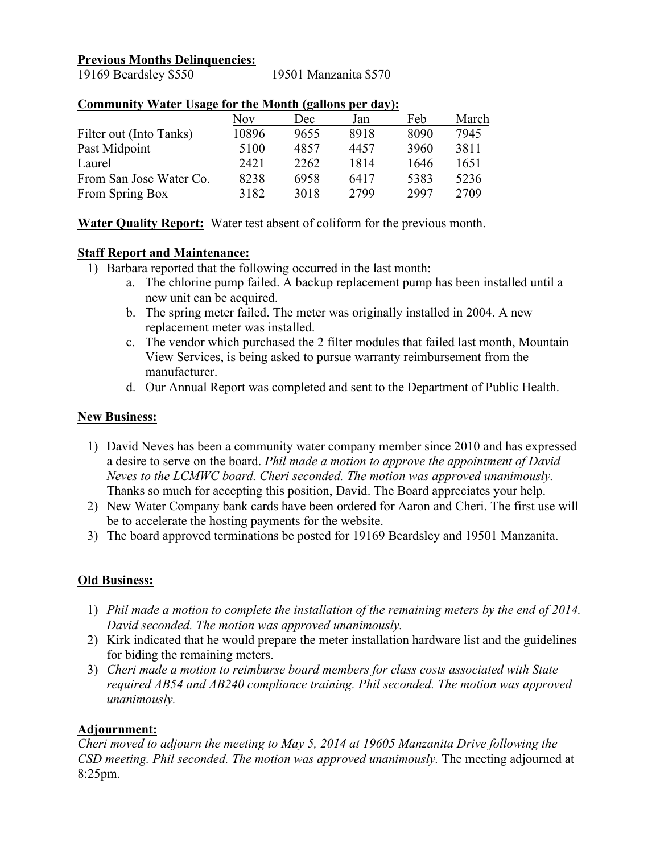#### **Previous Months Delinquencies:**

19169 Beardsley \$550 19501 Manzanita \$570

|                         | Nov   | Dec  | Jan  | Feb  | March |
|-------------------------|-------|------|------|------|-------|
| Filter out (Into Tanks) | 10896 | 9655 | 8918 | 8090 | 7945  |
| Past Midpoint           | 5100  | 4857 | 4457 | 3960 | 3811  |
| Laurel                  | 2421  | 2262 | 1814 | 1646 | 1651  |
| From San Jose Water Co. | 8238  | 6958 | 6417 | 5383 | 5236  |
| From Spring Box         | 3182  | 3018 | 2799 | 2997 | 2709  |
|                         |       |      |      |      |       |

# **Community Water Usage for the Month (gallons per day):**

**Water Quality Report:** Water test absent of coliform for the previous month.

#### **Staff Report and Maintenance:**

- 1) Barbara reported that the following occurred in the last month:
	- a. The chlorine pump failed. A backup replacement pump has been installed until a new unit can be acquired.
	- b. The spring meter failed. The meter was originally installed in 2004. A new replacement meter was installed.
	- c. The vendor which purchased the 2 filter modules that failed last month, Mountain View Services, is being asked to pursue warranty reimbursement from the manufacturer.
	- d. Our Annual Report was completed and sent to the Department of Public Health.

#### **New Business:**

- 1) David Neves has been a community water company member since 2010 and has expressed a desire to serve on the board. *Phil made a motion to approve the appointment of David Neves to the LCMWC board. Cheri seconded. The motion was approved unanimously.* Thanks so much for accepting this position, David. The Board appreciates your help.
- 2) New Water Company bank cards have been ordered for Aaron and Cheri. The first use will be to accelerate the hosting payments for the website.
- 3) The board approved terminations be posted for 19169 Beardsley and 19501 Manzanita.

#### **Old Business:**

- 1) *Phil made a motion to complete the installation of the remaining meters by the end of 2014. David seconded. The motion was approved unanimously.*
- 2) Kirk indicated that he would prepare the meter installation hardware list and the guidelines for biding the remaining meters.
- 3) *Cheri made a motion to reimburse board members for class costs associated with State required AB54 and AB240 compliance training. Phil seconded. The motion was approved unanimously.*

# **Adjournment:**

*Cheri moved to adjourn the meeting to May 5, 2014 at 19605 Manzanita Drive following the CSD meeting. Phil seconded. The motion was approved unanimously.* The meeting adjourned at 8:25pm.